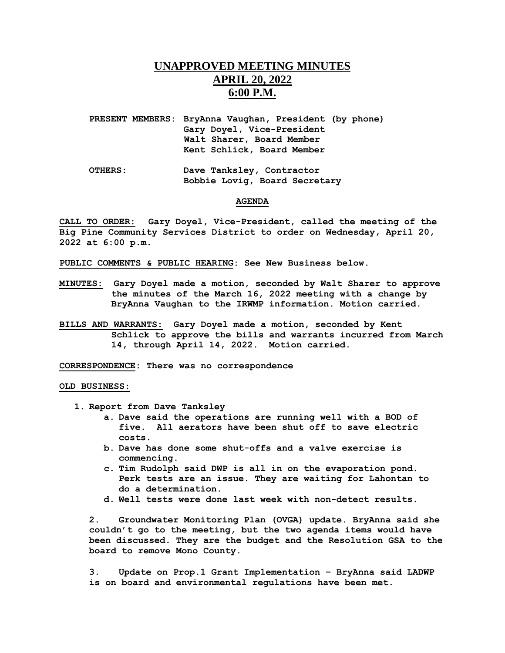# **UNAPPROVED MEETING MINUTES APRIL 20, 2022 6:00 P.M.**

**PRESENT MEMBERS: BryAnna Vaughan, President (by phone) Gary Doyel, Vice-President Walt Sharer, Board Member Kent Schlick, Board Member**

**OTHERS: Dave Tanksley, Contractor Bobbie Lovig, Board Secretary** 

#### **AGENDA**

**CALL TO ORDER: Gary Doyel, Vice-President, called the meeting of the Big Pine Community Services District to order on Wednesday, April 20, 2022 at 6:00 p.m.**

**PUBLIC COMMENTS & PUBLIC HEARING: See New Business below.**

- **MINUTES: Gary Doyel made a motion, seconded by Walt Sharer to approve the minutes of the March 16, 2022 meeting with a change by BryAnna Vaughan to the IRWMP information. Motion carried.**
- **BILLS AND WARRANTS: Gary Doyel made a motion, seconded by Kent Schlick to approve the bills and warrants incurred from March 14, through April 14, 2022. Motion carried.**

**CORRESPONDENCE: There was no correspondence**

### **OLD BUSINESS:**

- **1. Report from Dave Tanksley** 
	- **a. Dave said the operations are running well with a BOD of five. All aerators have been shut off to save electric costs.**
	- **b. Dave has done some shut-offs and a valve exercise is commencing.**
	- **c. Tim Rudolph said DWP is all in on the evaporation pond. Perk tests are an issue. They are waiting for Lahontan to do a determination.**
	- **d. Well tests were done last week with non-detect results.**

**2. Groundwater Monitoring Plan (OVGA) update. BryAnna said she couldn't go to the meeting, but the two agenda items would have been discussed. They are the budget and the Resolution GSA to the board to remove Mono County.**

**3. Update on Prop.1 Grant Implementation – BryAnna said LADWP is on board and environmental regulations have been met.**